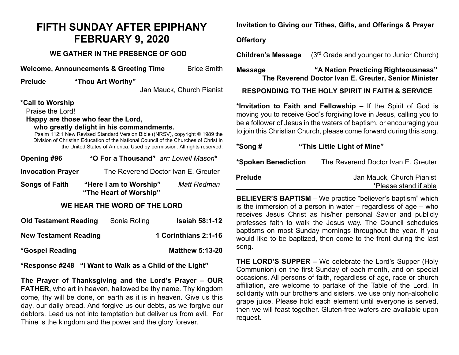# **FIFTH SUNDAY AFTER EPIPHANY FEBRUARY 9, 2020**

# **WE GATHER IN THE PRESENCE OF GOD**

**Welcome, Announcements & Greeting Time** Brice Smith

**Prelude "Thou Art Worthy"**

Jan Mauck, Church Pianist

### **\*Call to Worship**

Praise the Lord!

**Happy are those who fear the Lord,**

#### **who greatly delight in his commandments.**

Psalm 112:1 New Revised Standard Version Bible ((NRSV), copyright © 1989 the Division of Christian Education of the National Council of the Churches of Christ in the United States of America. Used by permission. All rights reserved.

| Opening #96                  | "O For a Thousand" arr: Lowell Mason*            |                    |
|------------------------------|--------------------------------------------------|--------------------|
| <b>Invocation Prayer</b>     | The Reverend Doctor Ivan E. Greuter              |                    |
| <b>Songs of Faith</b>        | "Here I am to Worship"<br>"The Heart of Worship" | <b>Matt Redman</b> |
| WE UEAD TUE WADD AE TUE LADD |                                                  |                    |

## **WE HEAR THE WORD OF THE LORD**

| <b>Old Testament Reading</b> | Sonia Roling | <b>Isaiah 58:1-12</b>  |
|------------------------------|--------------|------------------------|
| <b>New Testament Reading</b> |              | 1 Corinthians 2:1-16   |
| *Gospel Reading              |              | <b>Matthew 5:13-20</b> |

**\*Response #248 "I Want to Walk as a Child of the Light"**

**The Prayer of Thanksgiving and the Lord's Prayer – OUR FATHER,** who art in heaven, hallowed be thy name. Thy kingdom come, thy will be done, on earth as it is in heaven. Give us this day, our daily bread. And forgive us our debts, as we forgive our debtors. Lead us not into temptation but deliver us from evil. For Thine is the kingdom and the power and the glory forever.

**Invitation to Giving our Tithes, Gifts, and Offerings & Prayer**

## **Offertory**

**Children's Message** (3<sup>rd</sup> Grade and younger to Junior Church)

# **Message "A Nation Practicing Righteousness" The Reverend Doctor Ivan E. Greuter, Senior Minister**

**RESPONDING TO THE HOLY SPIRIT IN FAITH & SERVICE**

**\*Invitation to Faith and Fellowship –** If the Spirit of God is moving you to receive God's forgiving love in Jesus, calling you to be a follower of Jesus in the waters of baptism, or encouraging you to join this Christian Church, please come forward during this song.

| *Song #             | "This Little Light of Mine"                        |  |
|---------------------|----------------------------------------------------|--|
| *Spoken Benediction | The Reverend Doctor Ivan E. Greuter                |  |
| <b>Prelude</b>      | Jan Mauck, Church Pianist<br>*Please stand if able |  |

**BELIEVER'S BAPTISM** – We practice "believer's baptism" which is the immersion of a person in water – regardless of age – who receives Jesus Christ as his/her personal Savior and publicly professes faith to walk the Jesus way. The Council schedules baptisms on most Sunday mornings throughout the year. If you would like to be baptized, then come to the front during the last song.

**THE LORD'S SUPPER –** We celebrate the Lord's Supper (Holy Communion) on the first Sunday of each month, and on special occasions. All persons of faith, regardless of age, race or church affiliation, are welcome to partake of the Table of the Lord. In solidarity with our brothers and sisters, we use only non-alcoholic grape juice. Please hold each element until everyone is served, then we will feast together. Gluten-free wafers are available upon request.